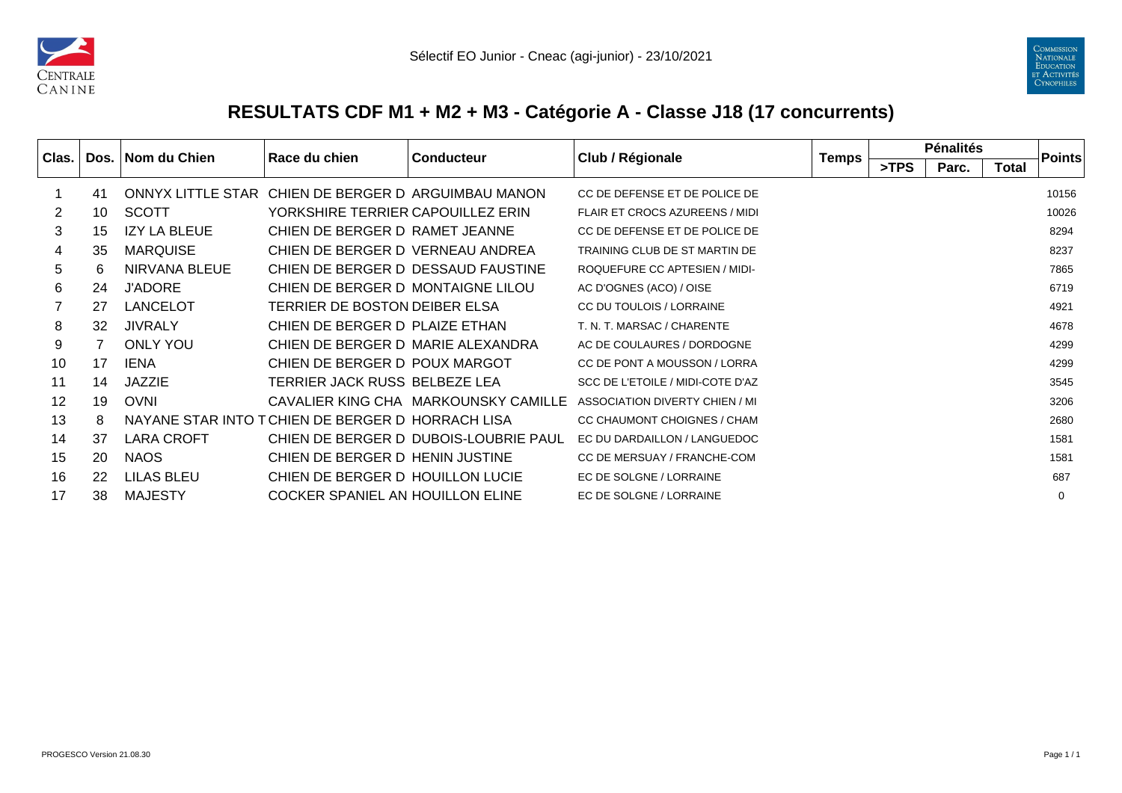



## **RESULTATS CDF M1 + M2 + M3 - Catégorie A - Classe J18 (17 concurrents)**

|       |    | Dos.   Nom du Chien | Race du chien                                      | <b>Conducteur</b>                     | Club / Régionale                      | <b>Temps</b> | <b>Pénalités</b> |       |              | <b>Points</b> |
|-------|----|---------------------|----------------------------------------------------|---------------------------------------|---------------------------------------|--------------|------------------|-------|--------------|---------------|
| Clas. |    |                     |                                                    |                                       |                                       |              | >TPS             | Parc. | <b>Total</b> |               |
|       | 41 |                     | ONNYX LITTLE STAR CHIEN DE BERGER DARGUIMBAU MANON |                                       | CC DE DEFENSE ET DE POLICE DE         |              |                  |       |              | 10156         |
| 2     | 10 | <b>SCOTT</b>        | YORKSHIRE TERRIER CAPOUILLEZ ERIN                  |                                       | <b>FLAIR ET CROCS AZUREENS / MIDI</b> |              |                  |       |              | 10026         |
| 3     | 15 | <b>IZY LA BLEUE</b> | CHIEN DE BERGER D RAMET JEANNE                     |                                       | CC DE DEFENSE ET DE POLICE DE         |              |                  |       |              | 8294          |
| 4     | 35 | <b>MARQUISE</b>     | CHIEN DE BERGER D VERNEAU ANDREA                   |                                       | TRAINING CLUB DE ST MARTIN DE         |              |                  |       |              | 8237          |
| 5     | 6  | NIRVANA BLEUE       |                                                    | CHIEN DE BERGER D DESSAUD FAUSTINE    | ROQUEFURE CC APTESIEN / MIDI-         |              |                  |       |              | 7865          |
| 6     | 24 | <b>J'ADORE</b>      | CHIEN DE BERGER D MONTAIGNE LILOU                  |                                       | AC D'OGNES (ACO) / OISE               |              |                  |       |              | 6719          |
|       | 27 | <b>LANCELOT</b>     | TERRIER DE BOSTON DEIBER ELSA                      |                                       | CC DU TOULOIS / LORRAINE              |              |                  |       |              | 4921          |
| 8     | 32 | <b>JIVRALY</b>      | CHIEN DE BERGER D PLAIZE ETHAN                     |                                       | T. N. T. MARSAC / CHARENTE            |              |                  |       |              | 4678          |
| 9     |    | <b>ONLY YOU</b>     | CHIEN DE BERGER D MARIE ALEXANDRA                  |                                       | AC DE COULAURES / DORDOGNE            |              |                  |       |              | 4299          |
| 10    | 17 | <b>IENA</b>         | CHIEN DE BERGER D POUX MARGOT                      |                                       | CC DE PONT A MOUSSON / LORRA          |              |                  |       |              | 4299          |
| 11    | 14 | <b>JAZZIE</b>       | TERRIER JACK RUSS BELBEZE LEA                      |                                       | SCC DE L'ETOILE / MIDI-COTE D'AZ      |              |                  |       |              | 3545          |
| 12    | 19 | <b>OVNI</b>         |                                                    | CAVALIER KING CHA MARKOUNSKY CAMILLE  | ASSOCIATION DIVERTY CHIEN / MI        |              |                  |       |              | 3206          |
| 13    | 8  |                     | NAYANE STAR INTO TCHIEN DE BERGER D HORRACH LISA   |                                       | CC CHAUMONT CHOIGNES / CHAM           |              |                  |       |              | 2680          |
| 14    | 37 | LARA CROFT          |                                                    | CHIEN DE BERGER D DUBOIS-LOUBRIE PAUL | EC DU DARDAILLON / LANGUEDOC          |              |                  |       |              | 1581          |
| 15    | 20 | <b>NAOS</b>         | CHIEN DE BERGER D HENIN JUSTINE                    |                                       | CC DE MERSUAY / FRANCHE-COM           |              |                  |       |              | 1581          |
| 16    | 22 | <b>LILAS BLEU</b>   | CHIEN DE BERGER D HOUILLON LUCIE                   |                                       | EC DE SOLGNE / LORRAINE               |              |                  |       |              | 687           |
| 17    | 38 | <b>MAJESTY</b>      | COCKER SPANIEL AN HOUILLON ELINE                   |                                       | EC DE SOLGNE / LORRAINE               |              |                  |       |              | 0             |
|       |    |                     |                                                    |                                       |                                       |              |                  |       |              |               |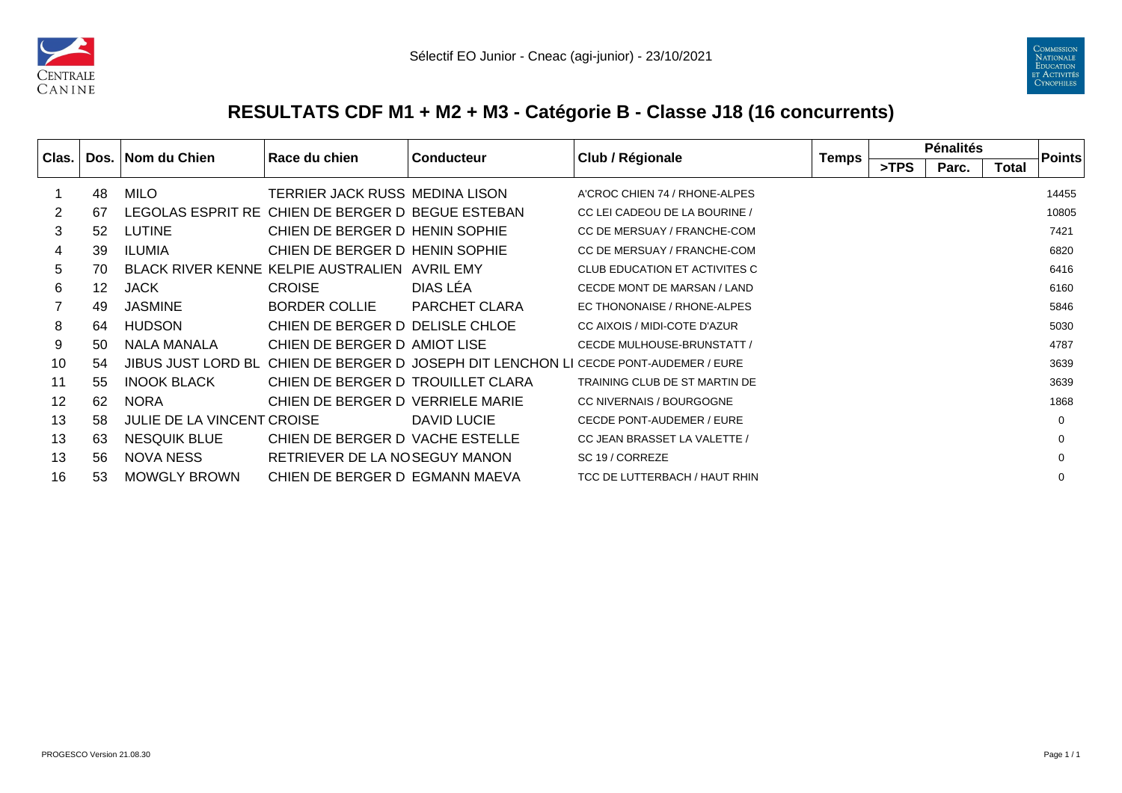



## **RESULTATS CDF M1 + M2 + M3 - Catégorie B - Classe J18 (16 concurrents)**

| Clas. |    | Dos. Nom du Chien                 | Race du chien                                     | <b>Conducteur</b> | Club / Régionale                                                                     | <b>Temps</b> | <b>Pénalités</b> |       |              | <b>Points</b> |
|-------|----|-----------------------------------|---------------------------------------------------|-------------------|--------------------------------------------------------------------------------------|--------------|------------------|-------|--------------|---------------|
|       |    |                                   |                                                   |                   |                                                                                      |              | >TPS             | Parc. | <b>Total</b> |               |
|       | 48 | <b>MILO</b>                       | TERRIER JACK RUSS MEDINA LISON                    |                   | A'CROC CHIEN 74 / RHONE-ALPES                                                        |              |                  |       |              | 14455         |
| 2     | 67 |                                   | LEGOLAS ESPRIT RE CHIEN DE BERGER D BEGUE ESTEBAN |                   | CC LEI CADEOU DE LA BOURINE /                                                        |              |                  |       |              | 10805         |
| 3     | 52 | <b>LUTINE</b>                     | CHIEN DE BERGER D HENIN SOPHIE                    |                   | CC DE MERSUAY / FRANCHE-COM                                                          |              |                  |       |              | 7421          |
| 4     | 39 | <b>ILUMIA</b>                     | CHIEN DE BERGER D HENIN SOPHIE                    |                   | CC DE MERSUAY / FRANCHE-COM                                                          |              |                  |       |              | 6820          |
| 5     | 70 |                                   | BLACK RIVER KENNE KELPIE AUSTRALIEN AVRIL EMY     |                   | CLUB EDUCATION ET ACTIVITES C                                                        |              |                  |       |              | 6416          |
| 6     | 12 | <b>JACK</b>                       | <b>CROISE</b>                                     | DIAS LEA          | CECDE MONT DE MARSAN / LAND                                                          |              |                  |       |              | 6160          |
|       | 49 | <b>JASMINE</b>                    | <b>BORDER COLLIE</b>                              | PARCHET CLARA     | EC THONONAISE / RHONE-ALPES                                                          |              |                  |       |              | 5846          |
| 8     | 64 | <b>HUDSON</b>                     | CHIEN DE BERGER D DELISLE CHLOE                   |                   | CC AIXOIS / MIDI-COTE D'AZUR                                                         |              |                  |       |              | 5030          |
| 9     | 50 | <b>NALA MANALA</b>                | CHIEN DE BERGER DAMIOT LISE                       |                   | CECDE MULHOUSE-BRUNSTATT /                                                           |              |                  |       |              | 4787          |
| 10    | 54 |                                   |                                                   |                   | JIBUS JUST LORD BL CHIEN DE BERGER D JOSEPH DIT LENCHON LI CECDE PONT-AUDEMER / EURE |              |                  |       |              | 3639          |
| 11    | 55 | <b>INOOK BLACK</b>                | CHIEN DE BERGER D TROUILLET CLARA                 |                   | TRAINING CLUB DE ST MARTIN DE                                                        |              |                  |       |              | 3639          |
| 12    | 62 | <b>NORA</b>                       | CHIEN DE BERGER D VERRIELE MARIE                  |                   | CC NIVERNAIS / BOURGOGNE                                                             |              |                  |       |              | 1868          |
| 13    | 58 | <b>JULIE DE LA VINCENT CROISE</b> |                                                   | DAVID LUCIE       | CECDE PONT-AUDEMER / EURE                                                            |              |                  |       |              | $\mathbf 0$   |
| 13    | 63 | <b>NESQUIK BLUE</b>               | CHIEN DE BERGER D VACHE ESTELLE                   |                   | CC JEAN BRASSET LA VALETTE /                                                         |              |                  |       |              | 0             |
| 13    | 56 | NOVA NESS                         | RETRIEVER DE LA NOSEGUY MANON                     |                   | SC 19 / CORREZE                                                                      |              |                  |       |              | $\Omega$      |
| 16    | 53 | <b>MOWGLY BROWN</b>               | CHIEN DE BERGER D EGMANN MAEVA                    |                   | TCC DE LUTTERBACH / HAUT RHIN                                                        |              |                  |       |              | $\Omega$      |
|       |    |                                   |                                                   |                   |                                                                                      |              |                  |       |              |               |